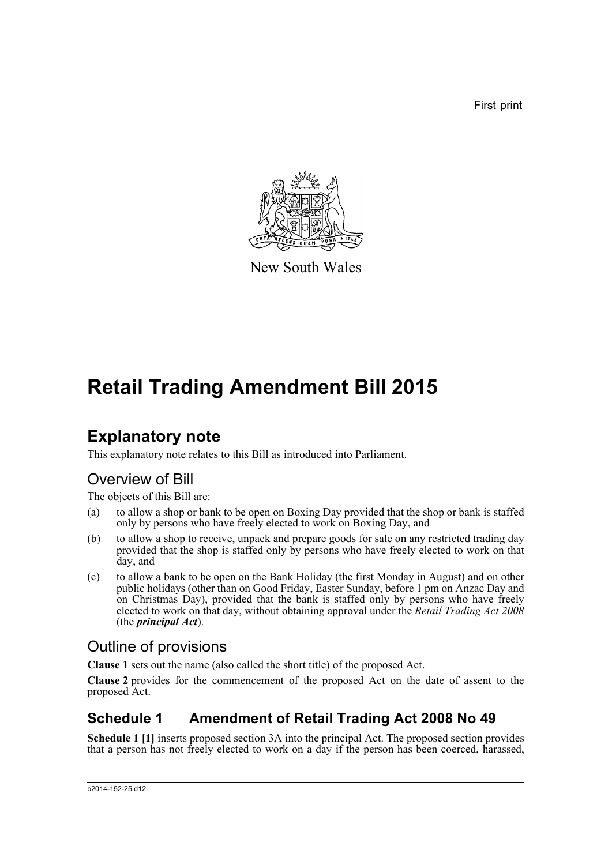First print



New South Wales

# **Retail Trading Amendment Bill 2015**

## **Explanatory note**

This explanatory note relates to this Bill as introduced into Parliament.

### Overview of Bill

The objects of this Bill are:

- (a) to allow a shop or bank to be open on Boxing Day provided that the shop or bank is staffed only by persons who have freely elected to work on Boxing Day, and
- (b) to allow a shop to receive, unpack and prepare goods for sale on any restricted trading day provided that the shop is staffed only by persons who have freely elected to work on that day, and
- (c) to allow a bank to be open on the Bank Holiday (the first Monday in August) and on other public holidays (other than on Good Friday, Easter Sunday, before 1 pm on Anzac Day and on Christmas Day), provided that the bank is staffed only by persons who have freely elected to work on that day, without obtaining approval under the *Retail Trading Act 2008* (the *principal Act*).

### Outline of provisions

**Clause 1** sets out the name (also called the short title) of the proposed Act.

**Clause 2** provides for the commencement of the proposed Act on the date of assent to the proposed Act.

### **Schedule 1 Amendment of Retail Trading Act 2008 No 49**

**Schedule 1 [1]** inserts proposed section 3A into the principal Act. The proposed section provides that a person has not freely elected to work on a day if the person has been coerced, harassed,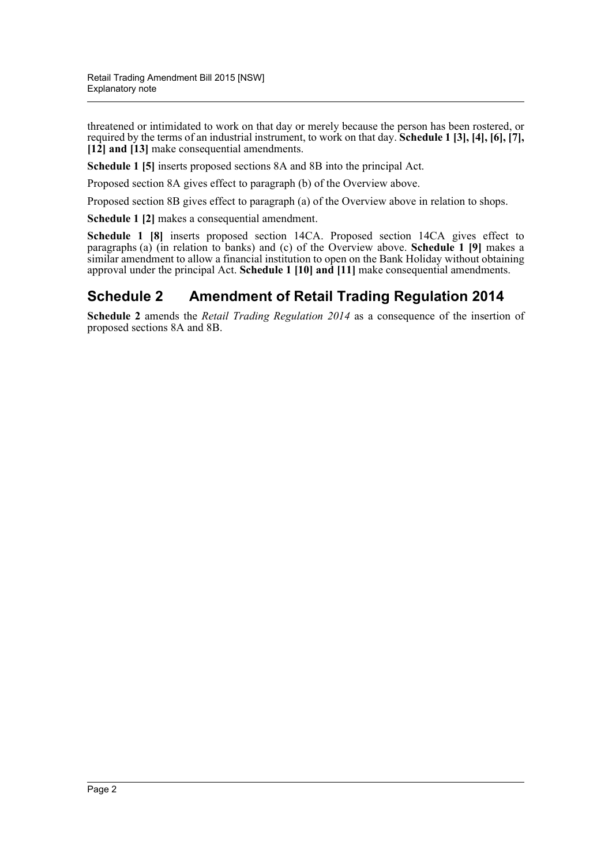threatened or intimidated to work on that day or merely because the person has been rostered, or required by the terms of an industrial instrument, to work on that day. **Schedule 1 [3], [4], [6], [7], [12] and [13]** make consequential amendments.

**Schedule 1 [5]** inserts proposed sections 8A and 8B into the principal Act.

Proposed section 8A gives effect to paragraph (b) of the Overview above.

Proposed section 8B gives effect to paragraph (a) of the Overview above in relation to shops.

**Schedule 1 [2]** makes a consequential amendment.

**Schedule 1 [8]** inserts proposed section 14CA. Proposed section 14CA gives effect to paragraphs (a) (in relation to banks) and (c) of the Overview above. **Schedule 1 [9]** makes a similar amendment to allow a financial institution to open on the Bank Holiday without obtaining approval under the principal Act. **Schedule 1 [10] and [11]** make consequential amendments.

#### **Schedule 2 Amendment of Retail Trading Regulation 2014**

**Schedule 2** amends the *Retail Trading Regulation 2014* as a consequence of the insertion of proposed sections 8A and 8B.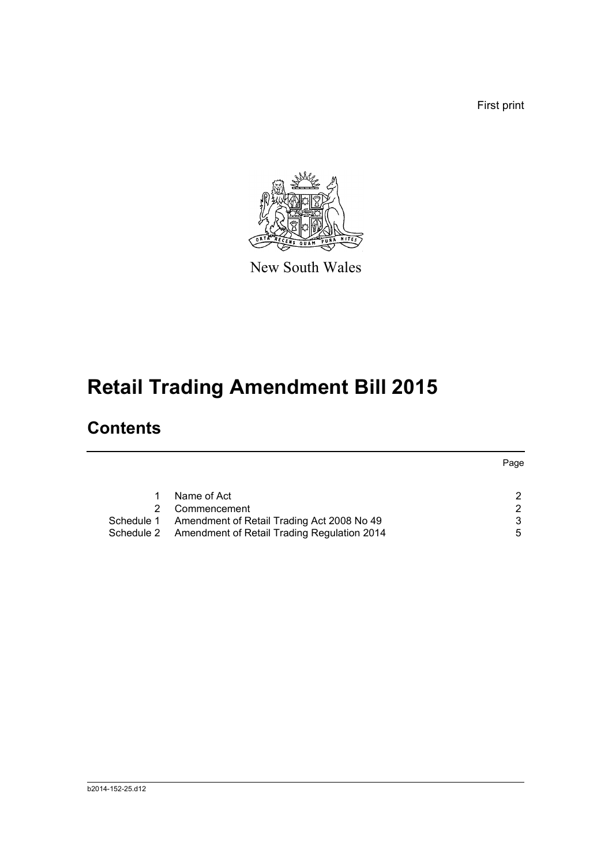First print



New South Wales

# **Retail Trading Amendment Bill 2015**

## **Contents**

|                                                        | Page          |
|--------------------------------------------------------|---------------|
|                                                        |               |
| Name of Act                                            | 2             |
| Commencement                                           | $\mathcal{D}$ |
| Schedule 1 Amendment of Retail Trading Act 2008 No 49  | 3             |
| Schedule 2 Amendment of Retail Trading Regulation 2014 | 5             |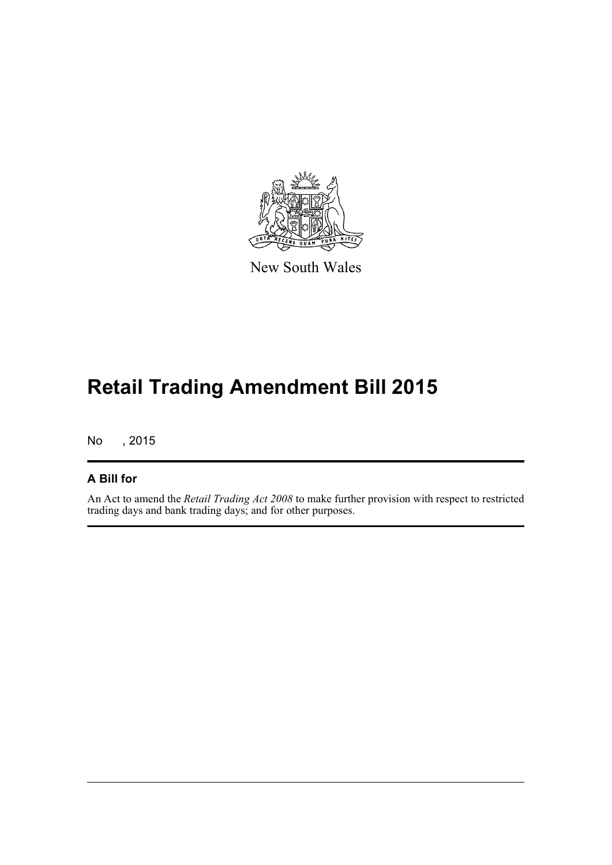

New South Wales

# **Retail Trading Amendment Bill 2015**

No , 2015

#### **A Bill for**

An Act to amend the *Retail Trading Act 2008* to make further provision with respect to restricted trading days and bank trading days; and for other purposes.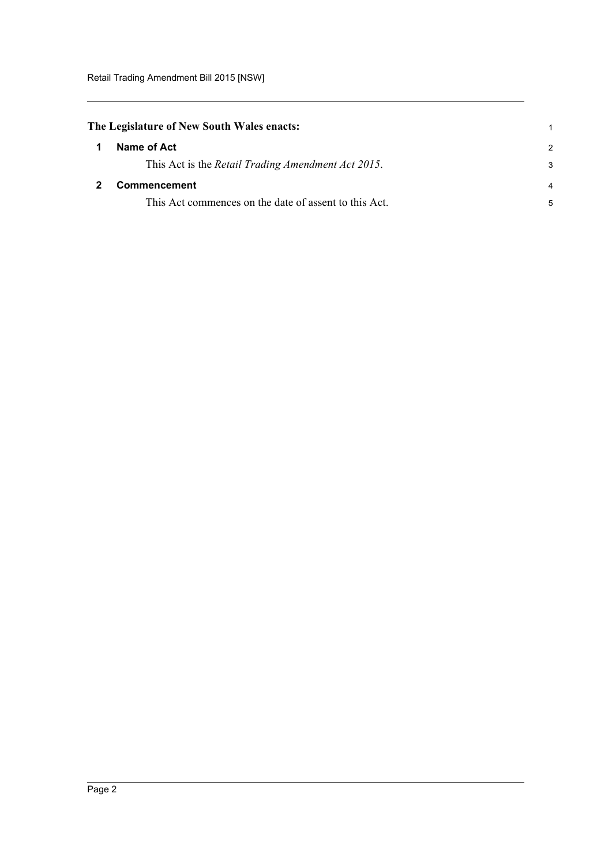<span id="page-4-1"></span><span id="page-4-0"></span>

| The Legislature of New South Wales enacts: |                                                       | 1             |
|--------------------------------------------|-------------------------------------------------------|---------------|
| -1                                         | Name of Act                                           | $\mathcal{P}$ |
|                                            | This Act is the Retail Trading Amendment Act 2015.    | 3             |
|                                            | <b>Commencement</b>                                   | 4             |
|                                            | This Act commences on the date of assent to this Act. | 5             |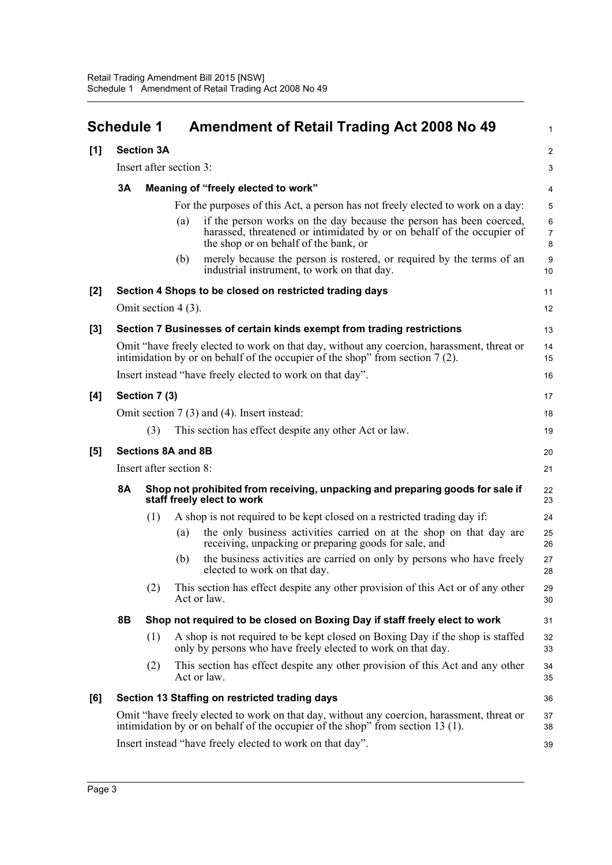<span id="page-5-0"></span>

|       | <b>Schedule 1</b> |                                                                                                                         |     | <b>Amendment of Retail Trading Act 2008 No 49</b>                                                                                                                                      | 1                                 |
|-------|-------------------|-------------------------------------------------------------------------------------------------------------------------|-----|----------------------------------------------------------------------------------------------------------------------------------------------------------------------------------------|-----------------------------------|
| [1]   |                   | <b>Section 3A</b>                                                                                                       |     |                                                                                                                                                                                        | $\overline{a}$                    |
|       |                   | Insert after section 3:                                                                                                 |     |                                                                                                                                                                                        | 3                                 |
|       | 3Α                | Meaning of "freely elected to work"                                                                                     |     |                                                                                                                                                                                        |                                   |
|       |                   |                                                                                                                         |     | For the purposes of this Act, a person has not freely elected to work on a day:                                                                                                        | 5                                 |
|       |                   |                                                                                                                         | (a) | if the person works on the day because the person has been coerced,<br>harassed, threatened or intimidated by or on behalf of the occupier of<br>the shop or on behalf of the bank, or | $\epsilon$<br>$\overline{7}$<br>8 |
|       |                   |                                                                                                                         | (b) | merely because the person is rostered, or required by the terms of an<br>industrial instrument, to work on that day.                                                                   | 9<br>10                           |
| $[2]$ |                   |                                                                                                                         |     | Section 4 Shops to be closed on restricted trading days                                                                                                                                | 11                                |
|       |                   | Omit section $4(3)$ .                                                                                                   |     |                                                                                                                                                                                        | 12                                |
| $[3]$ |                   |                                                                                                                         |     | Section 7 Businesses of certain kinds exempt from trading restrictions                                                                                                                 | 13                                |
|       |                   |                                                                                                                         |     | Omit "have freely elected to work on that day, without any coercion, harassment, threat or<br>intimidation by or on behalf of the occupier of the shop" from section 7(2).             | 14<br>15                          |
|       |                   |                                                                                                                         |     | Insert instead "have freely elected to work on that day".                                                                                                                              | 16                                |
| [4]   |                   | Section 7 (3)                                                                                                           |     |                                                                                                                                                                                        | 17                                |
|       |                   |                                                                                                                         |     | Omit section 7 (3) and (4). Insert instead:                                                                                                                                            | 18                                |
|       |                   | (3)                                                                                                                     |     | This section has effect despite any other Act or law.                                                                                                                                  | 19                                |
| [5]   |                   | <b>Sections 8A and 8B</b>                                                                                               |     |                                                                                                                                                                                        | 20                                |
|       |                   | Insert after section 8:                                                                                                 |     |                                                                                                                                                                                        | 21                                |
|       | <b>8A</b>         | Shop not prohibited from receiving, unpacking and preparing goods for sale if<br>22<br>staff freely elect to work<br>23 |     |                                                                                                                                                                                        |                                   |
|       |                   | (1)                                                                                                                     |     | A shop is not required to be kept closed on a restricted trading day if:                                                                                                               | 24                                |
|       |                   |                                                                                                                         | (a) | the only business activities carried on at the shop on that day are<br>receiving, unpacking or preparing goods for sale, and                                                           | 25<br>26                          |
|       |                   |                                                                                                                         | (b) | the business activities are carried on only by persons who have freely<br>elected to work on that day.                                                                                 | 27<br>28                          |
|       |                   | (2)                                                                                                                     |     | This section has effect despite any other provision of this Act or of any other<br>Act or law.                                                                                         | 29<br>30                          |
|       | 8Β                |                                                                                                                         |     | Shop not required to be closed on Boxing Day if staff freely elect to work                                                                                                             | 31                                |
|       |                   | (1)                                                                                                                     |     | A shop is not required to be kept closed on Boxing Day if the shop is staffed<br>only by persons who have freely elected to work on that day.                                          | 32<br>33                          |
|       |                   | (2)                                                                                                                     |     | This section has effect despite any other provision of this Act and any other<br>Act or law.                                                                                           | 34<br>35                          |
| [6]   |                   |                                                                                                                         |     | Section 13 Staffing on restricted trading days                                                                                                                                         | 36                                |
|       |                   |                                                                                                                         |     | Omit "have freely elected to work on that day, without any coercion, harassment, threat or<br>intimidation by or on behalf of the occupier of the shop" from section 13 (1).           | 37<br>38                          |
|       |                   | Insert instead "have freely elected to work on that day".                                                               |     |                                                                                                                                                                                        | 39                                |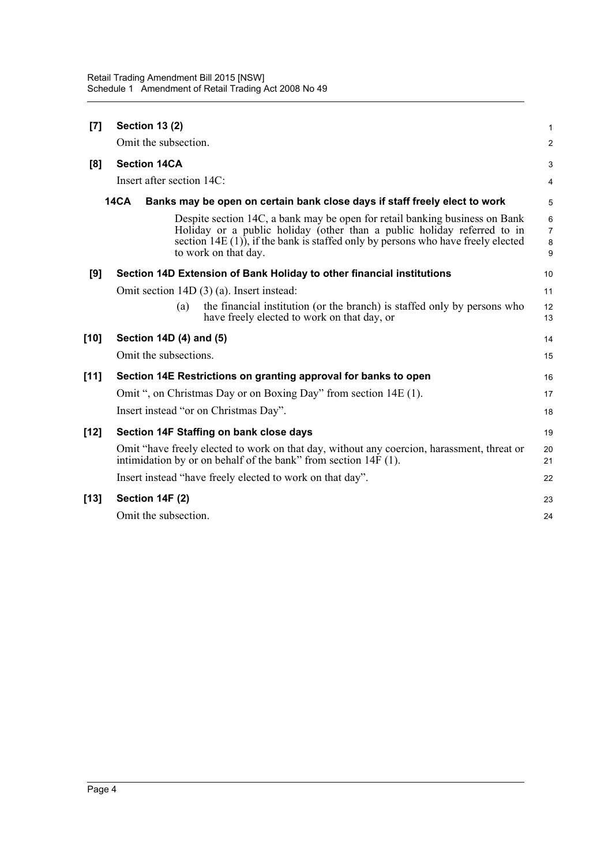| <b>Section 13 (2)</b>                                                                                                                                                                                                                                               | 1                             |
|---------------------------------------------------------------------------------------------------------------------------------------------------------------------------------------------------------------------------------------------------------------------|-------------------------------|
| Omit the subsection.                                                                                                                                                                                                                                                | $\overline{a}$                |
| <b>Section 14CA</b>                                                                                                                                                                                                                                                 | 3                             |
| Insert after section 14C:                                                                                                                                                                                                                                           | 4                             |
| <b>14CA</b><br>Banks may be open on certain bank close days if staff freely elect to work                                                                                                                                                                           | 5                             |
| Despite section 14C, a bank may be open for retail banking business on Bank<br>Holiday or a public holiday (other than a public holiday referred to in<br>section $14E(1)$ , if the bank is staffed only by persons who have freely elected<br>to work on that day. | 6<br>$\overline{7}$<br>8<br>9 |
| Section 14D Extension of Bank Holiday to other financial institutions                                                                                                                                                                                               | 10                            |
| Omit section 14D (3) (a). Insert instead:                                                                                                                                                                                                                           | 11                            |
| the financial institution (or the branch) is staffed only by persons who<br>(a)<br>have freely elected to work on that day, or                                                                                                                                      | 12<br>13                      |
| Section 14D (4) and (5)                                                                                                                                                                                                                                             | 14                            |
| Omit the subsections.                                                                                                                                                                                                                                               | 15                            |
| Section 14E Restrictions on granting approval for banks to open                                                                                                                                                                                                     |                               |
| Omit ", on Christmas Day or on Boxing Day" from section 14E (1).                                                                                                                                                                                                    | 17                            |
| Insert instead "or on Christmas Day".                                                                                                                                                                                                                               | 18                            |
| Section 14F Staffing on bank close days                                                                                                                                                                                                                             | 19                            |
| Omit "have freely elected to work on that day, without any coercion, harassment, threat or<br>intimidation by or on behalf of the bank" from section $14F(1)$ .                                                                                                     | 20<br>21                      |
| Insert instead "have freely elected to work on that day".                                                                                                                                                                                                           | 22                            |
| Section 14F (2)                                                                                                                                                                                                                                                     | 23                            |
| Omit the subsection.                                                                                                                                                                                                                                                | 24                            |
|                                                                                                                                                                                                                                                                     |                               |